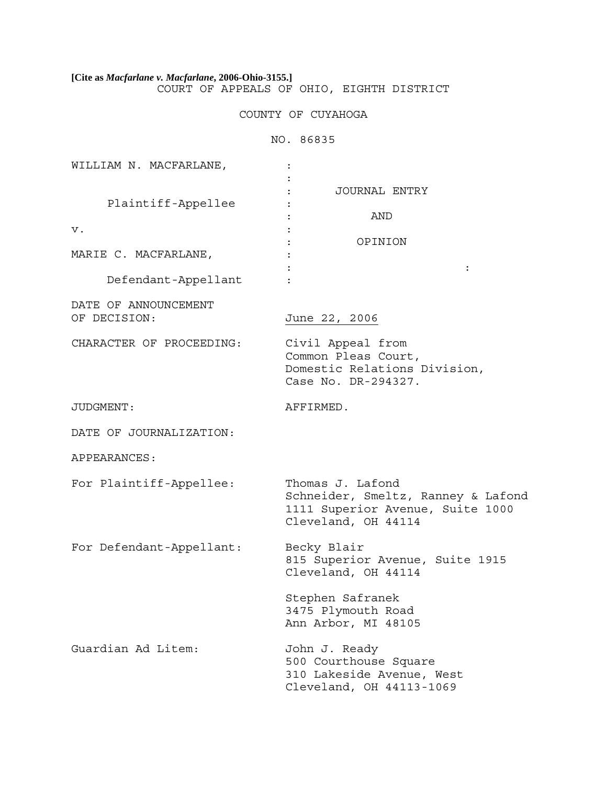**[Cite as** *Macfarlane v. Macfarlane***, 2006-Ohio-3155.]** COURT OF APPEALS OF OHIO, EIGHTH DISTRICT

# COUNTY OF CUYAHOGA

NO. 86835

| WILLIAM N. MACFARLANE,               |                                                                                                                   |
|--------------------------------------|-------------------------------------------------------------------------------------------------------------------|
| Plaintiff-Appellee<br>v.             | JOURNAL ENTRY<br>AND<br>OPINION                                                                                   |
| MARIE C. MACFARLANE,                 | $\ddot{\cdot}$                                                                                                    |
| Defendant-Appellant                  |                                                                                                                   |
| DATE OF ANNOUNCEMENT<br>OF DECISION: | June 22, 2006                                                                                                     |
| CHARACTER OF PROCEEDING:             | Civil Appeal from<br>Common Pleas Court,<br>Domestic Relations Division,<br>Case No. DR-294327.                   |
| JUDGMENT:                            | AFFIRMED.                                                                                                         |
| DATE OF JOURNALIZATION:              |                                                                                                                   |
| APPEARANCES:                         |                                                                                                                   |
| For Plaintiff-Appellee:              | Thomas J. Lafond<br>Schneider, Smeltz, Ranney & Lafond<br>1111 Superior Avenue, Suite 1000<br>Cleveland, OH 44114 |
| For Defendant-Appellant:             | Becky Blair<br>815 Superior Avenue, Suite 1915<br>Cleveland, OH 44114                                             |
|                                      | Stephen Safranek<br>3475 Plymouth Road<br>Ann Arbor, MI 48105                                                     |
| Guardian Ad Litem:                   | John J. Ready<br>500 Courthouse Square<br>310 Lakeside Avenue, West<br>Cleveland, OH 44113-1069                   |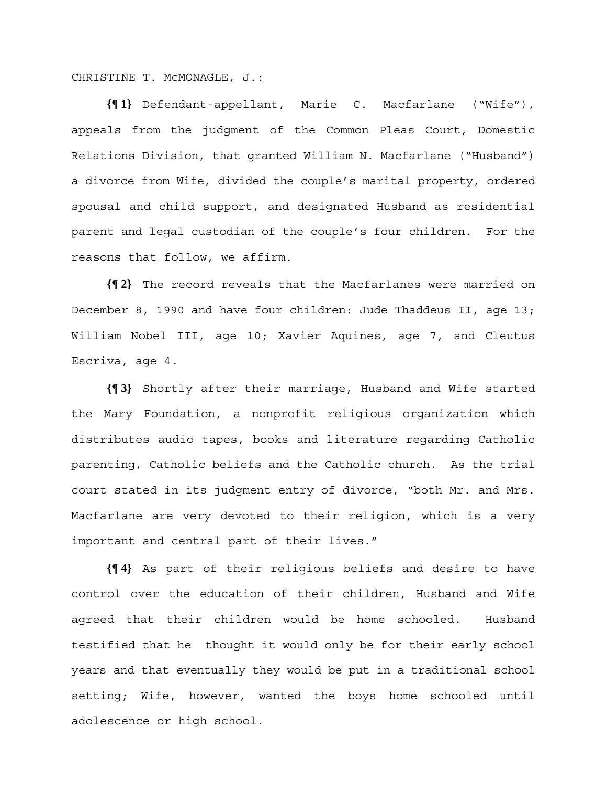CHRISTINE T. McMONAGLE, J.:

**{¶ 1}** Defendant-appellant, Marie C. Macfarlane ("Wife"), appeals from the judgment of the Common Pleas Court, Domestic Relations Division, that granted William N. Macfarlane ("Husband") a divorce from Wife, divided the couple's marital property, ordered spousal and child support, and designated Husband as residential parent and legal custodian of the couple's four children. For the reasons that follow, we affirm.

**{¶ 2}** The record reveals that the Macfarlanes were married on December 8, 1990 and have four children: Jude Thaddeus II, age 13; William Nobel III, age 10; Xavier Aquines, age 7, and Cleutus Escriva, age 4.

**{¶ 3}** Shortly after their marriage, Husband and Wife started the Mary Foundation, a nonprofit religious organization which distributes audio tapes, books and literature regarding Catholic parenting, Catholic beliefs and the Catholic church. As the trial court stated in its judgment entry of divorce, "both Mr. and Mrs. Macfarlane are very devoted to their religion, which is a very important and central part of their lives."

**{¶ 4}** As part of their religious beliefs and desire to have control over the education of their children, Husband and Wife agreed that their children would be home schooled. Husband testified that he thought it would only be for their early school years and that eventually they would be put in a traditional school setting; Wife, however, wanted the boys home schooled until adolescence or high school.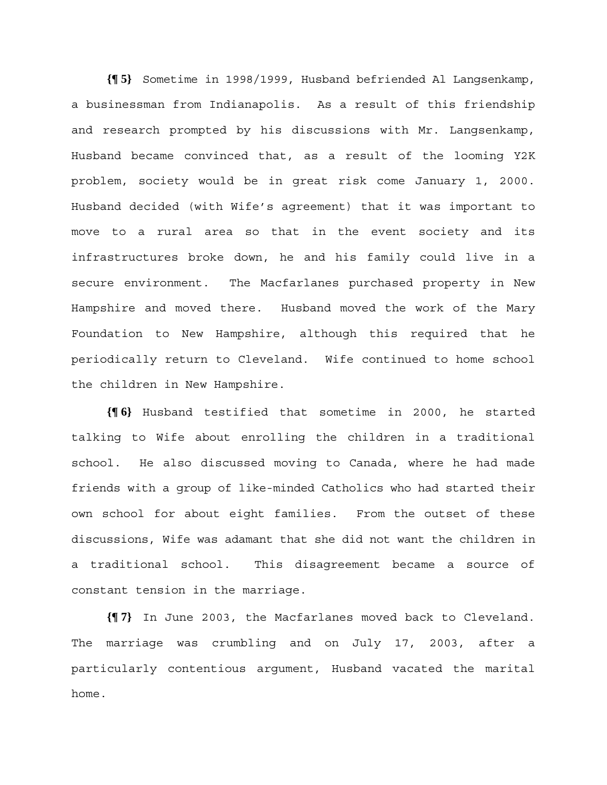**{¶ 5}** Sometime in 1998/1999, Husband befriended Al Langsenkamp, a businessman from Indianapolis. As a result of this friendship and research prompted by his discussions with Mr. Langsenkamp, Husband became convinced that, as a result of the looming Y2K problem, society would be in great risk come January 1, 2000. Husband decided (with Wife's agreement) that it was important to move to a rural area so that in the event society and its infrastructures broke down, he and his family could live in a secure environment. The Macfarlanes purchased property in New Hampshire and moved there. Husband moved the work of the Mary Foundation to New Hampshire, although this required that he periodically return to Cleveland. Wife continued to home school the children in New Hampshire.

**{¶ 6}** Husband testified that sometime in 2000, he started talking to Wife about enrolling the children in a traditional school. He also discussed moving to Canada, where he had made friends with a group of like-minded Catholics who had started their own school for about eight families. From the outset of these discussions, Wife was adamant that she did not want the children in a traditional school. This disagreement became a source of constant tension in the marriage.

**{¶ 7}** In June 2003, the Macfarlanes moved back to Cleveland. The marriage was crumbling and on July 17, 2003, after a particularly contentious argument, Husband vacated the marital home.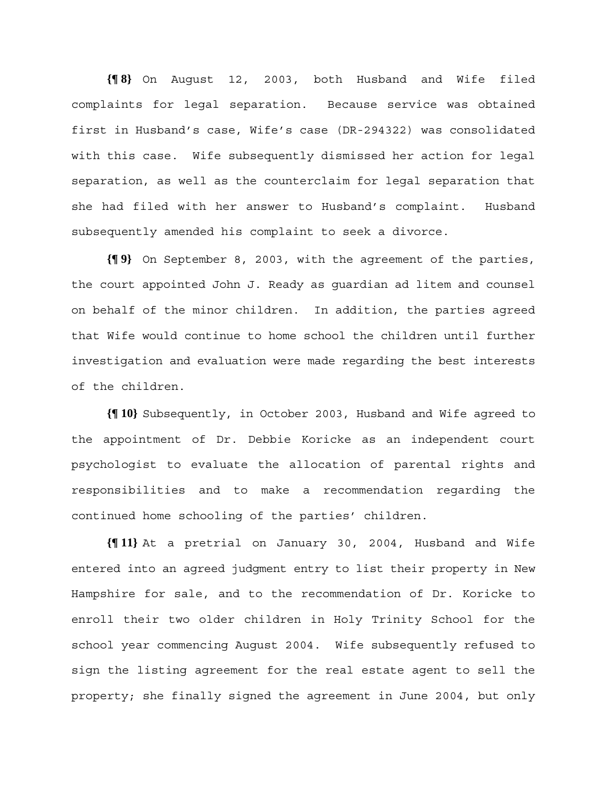**{¶ 8}** On August 12, 2003, both Husband and Wife filed complaints for legal separation. Because service was obtained first in Husband's case, Wife's case (DR-294322) was consolidated with this case. Wife subsequently dismissed her action for legal separation, as well as the counterclaim for legal separation that she had filed with her answer to Husband's complaint. Husband subsequently amended his complaint to seek a divorce.

**{¶ 9}** On September 8, 2003, with the agreement of the parties, the court appointed John J. Ready as guardian ad litem and counsel on behalf of the minor children. In addition, the parties agreed that Wife would continue to home school the children until further investigation and evaluation were made regarding the best interests of the children.

**{¶ 10}** Subsequently, in October 2003, Husband and Wife agreed to the appointment of Dr. Debbie Koricke as an independent court psychologist to evaluate the allocation of parental rights and responsibilities and to make a recommendation regarding the continued home schooling of the parties' children.

**{¶ 11}** At a pretrial on January 30, 2004, Husband and Wife entered into an agreed judgment entry to list their property in New Hampshire for sale, and to the recommendation of Dr. Koricke to enroll their two older children in Holy Trinity School for the school year commencing August 2004. Wife subsequently refused to sign the listing agreement for the real estate agent to sell the property; she finally signed the agreement in June 2004, but only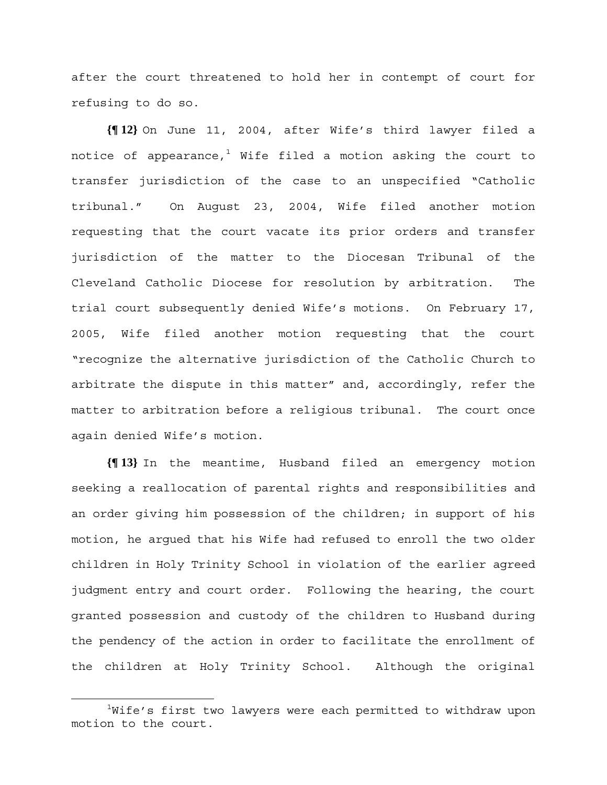after the court threatened to hold her in contempt of court for refusing to do so.

**{¶ 12}** On June 11, 2004, after Wife's third lawyer filed a notice of appearance, $^1$  Wife filed a motion asking the court to transfer jurisdiction of the case to an unspecified "Catholic tribunal." On August 23, 2004, Wife filed another motion requesting that the court vacate its prior orders and transfer jurisdiction of the matter to the Diocesan Tribunal of the Cleveland Catholic Diocese for resolution by arbitration. The trial court subsequently denied Wife's motions. On February 17, 2005, Wife filed another motion requesting that the court "recognize the alternative jurisdiction of the Catholic Church to arbitrate the dispute in this matter" and, accordingly, refer the matter to arbitration before a religious tribunal. The court once again denied Wife's motion.

**{¶ 13}** In the meantime, Husband filed an emergency motion seeking a reallocation of parental rights and responsibilities and an order giving him possession of the children; in support of his motion, he argued that his Wife had refused to enroll the two older children in Holy Trinity School in violation of the earlier agreed judgment entry and court order. Following the hearing, the court granted possession and custody of the children to Husband during the pendency of the action in order to facilitate the enrollment of the children at Holy Trinity School. Although the original

 $\begin{array}{c}\n\hline\n\hline\n\hline\n\hline\n\hline\n\end{array}$ <sup>1</sup>Wife's first two lawyers were each permitted to withdraw upon motion to the court.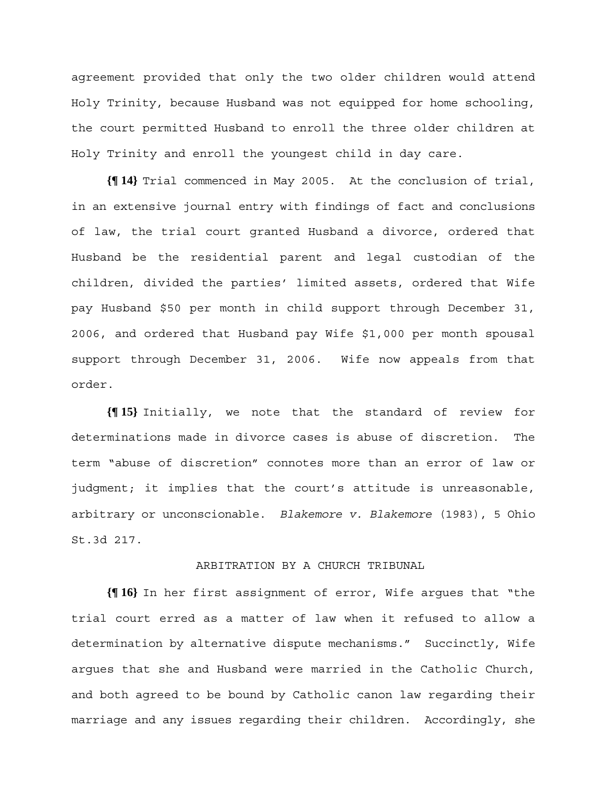agreement provided that only the two older children would attend Holy Trinity, because Husband was not equipped for home schooling, the court permitted Husband to enroll the three older children at Holy Trinity and enroll the youngest child in day care.

**{¶ 14}** Trial commenced in May 2005. At the conclusion of trial, in an extensive journal entry with findings of fact and conclusions of law, the trial court granted Husband a divorce, ordered that Husband be the residential parent and legal custodian of the children, divided the parties' limited assets, ordered that Wife pay Husband \$50 per month in child support through December 31, 2006, and ordered that Husband pay Wife \$1,000 per month spousal support through December 31, 2006. Wife now appeals from that order.

**{¶ 15}** Initially, we note that the standard of review for determinations made in divorce cases is abuse of discretion. The term "abuse of discretion" connotes more than an error of law or judgment; it implies that the court's attitude is unreasonable, arbitrary or unconscionable. *Blakemore v. Blakemore* (1983), 5 Ohio St.3d 217.

#### ARBITRATION BY A CHURCH TRIBUNAL

**{¶ 16}** In her first assignment of error, Wife argues that "the trial court erred as a matter of law when it refused to allow a determination by alternative dispute mechanisms." Succinctly, Wife argues that she and Husband were married in the Catholic Church, and both agreed to be bound by Catholic canon law regarding their marriage and any issues regarding their children. Accordingly, she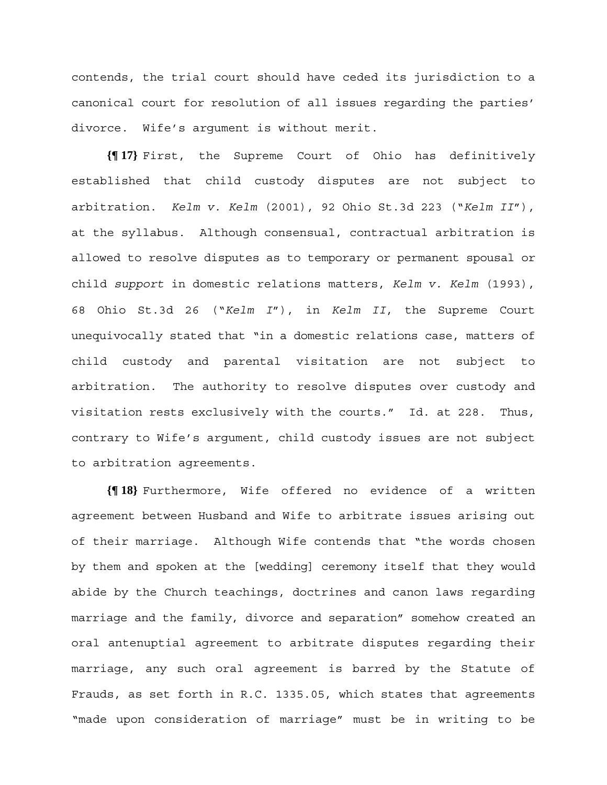contends, the trial court should have ceded its jurisdiction to a canonical court for resolution of all issues regarding the parties' divorce. Wife's argument is without merit.

**{¶ 17}** First, the Supreme Court of Ohio has definitively established that child custody disputes are not subject to arbitration. *Kelm v. Kelm* (2001), 92 Ohio St.3d 223 ("*Kelm II*"), at the syllabus. Although consensual, contractual arbitration is allowed to resolve disputes as to temporary or permanent spousal or child *support* in domestic relations matters, *Kelm v. Kelm* (1993), 68 Ohio St.3d 26 ("*Kelm I*"), in *Kelm II*, the Supreme Court unequivocally stated that "in a domestic relations case, matters of child custody and parental visitation are not subject to arbitration. The authority to resolve disputes over custody and visitation rests exclusively with the courts." Id. at 228. Thus, contrary to Wife's argument, child custody issues are not subject to arbitration agreements.

**{¶ 18}** Furthermore, Wife offered no evidence of a written agreement between Husband and Wife to arbitrate issues arising out of their marriage. Although Wife contends that "the words chosen by them and spoken at the [wedding] ceremony itself that they would abide by the Church teachings, doctrines and canon laws regarding marriage and the family, divorce and separation" somehow created an oral antenuptial agreement to arbitrate disputes regarding their marriage, any such oral agreement is barred by the Statute of Frauds, as set forth in R.C. 1335.05, which states that agreements "made upon consideration of marriage" must be in writing to be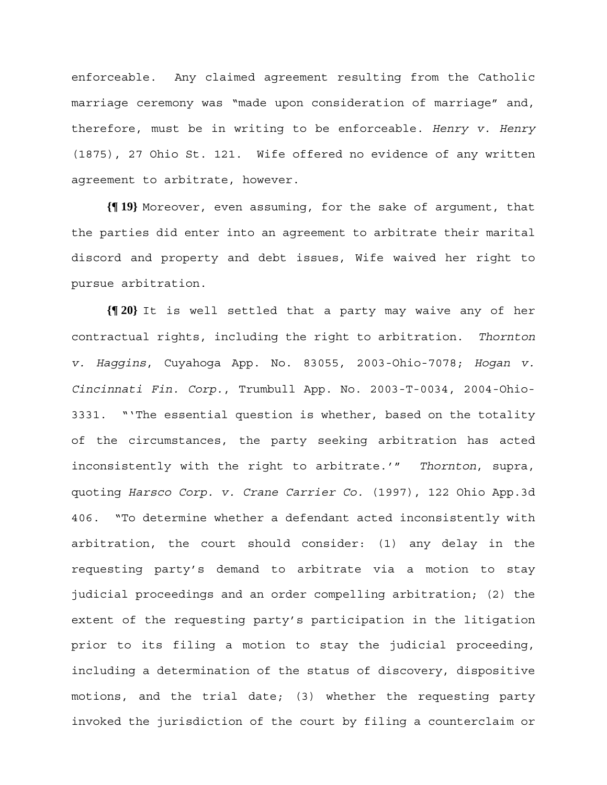enforceable. Any claimed agreement resulting from the Catholic marriage ceremony was "made upon consideration of marriage" and, therefore, must be in writing to be enforceable. *Henry v. Henry*  (1875), 27 Ohio St. 121. Wife offered no evidence of any written agreement to arbitrate, however.

**{¶ 19}** Moreover, even assuming, for the sake of argument, that the parties did enter into an agreement to arbitrate their marital discord and property and debt issues, Wife waived her right to pursue arbitration.

**{¶ 20}** It is well settled that a party may waive any of her contractual rights, including the right to arbitration. *Thornton v. Haggins*, Cuyahoga App. No. 83055, 2003-Ohio-7078; *Hogan v. Cincinnati Fin. Corp.*, Trumbull App. No. 2003-T-0034, 2004-Ohio-3331. "'The essential question is whether, based on the totality of the circumstances, the party seeking arbitration has acted inconsistently with the right to arbitrate.'" *Thornton*, supra, quoting *Harsco Corp. v. Crane Carrier Co.* (1997), 122 Ohio App.3d 406. "To determine whether a defendant acted inconsistently with arbitration, the court should consider: (1) any delay in the requesting party's demand to arbitrate via a motion to stay judicial proceedings and an order compelling arbitration; (2) the extent of the requesting party's participation in the litigation prior to its filing a motion to stay the judicial proceeding, including a determination of the status of discovery, dispositive motions, and the trial date; (3) whether the requesting party invoked the jurisdiction of the court by filing a counterclaim or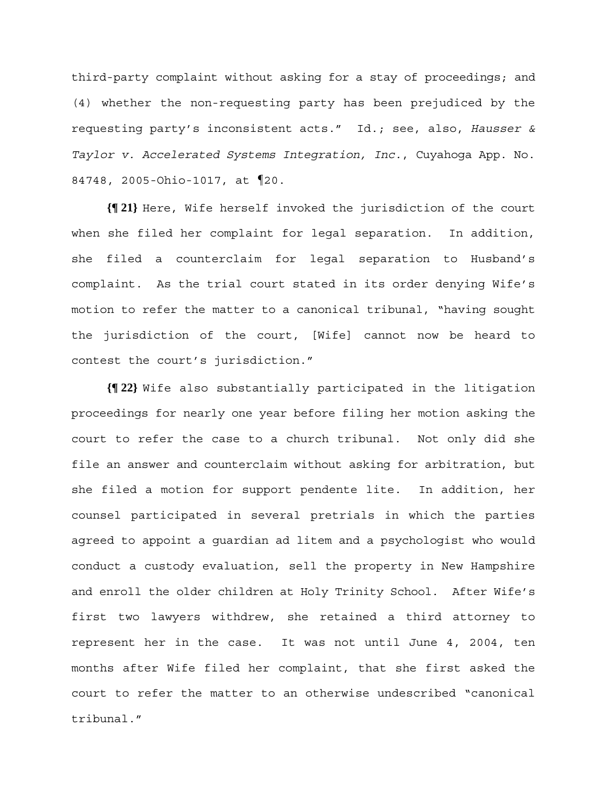third-party complaint without asking for a stay of proceedings; and (4) whether the non-requesting party has been prejudiced by the requesting party's inconsistent acts." Id.; see, also, *Hausser & Taylor v. Accelerated Systems Integration, Inc.*, Cuyahoga App. No. 84748, 2005-Ohio-1017, at ¶20.

**{¶ 21}** Here, Wife herself invoked the jurisdiction of the court when she filed her complaint for legal separation. In addition, she filed a counterclaim for legal separation to Husband's complaint. As the trial court stated in its order denying Wife's motion to refer the matter to a canonical tribunal, "having sought the jurisdiction of the court, [Wife] cannot now be heard to contest the court's jurisdiction."

**{¶ 22}** Wife also substantially participated in the litigation proceedings for nearly one year before filing her motion asking the court to refer the case to a church tribunal. Not only did she file an answer and counterclaim without asking for arbitration, but she filed a motion for support pendente lite. In addition, her counsel participated in several pretrials in which the parties agreed to appoint a guardian ad litem and a psychologist who would conduct a custody evaluation, sell the property in New Hampshire and enroll the older children at Holy Trinity School. After Wife's first two lawyers withdrew, she retained a third attorney to represent her in the case. It was not until June 4, 2004, ten months after Wife filed her complaint, that she first asked the court to refer the matter to an otherwise undescribed "canonical tribunal."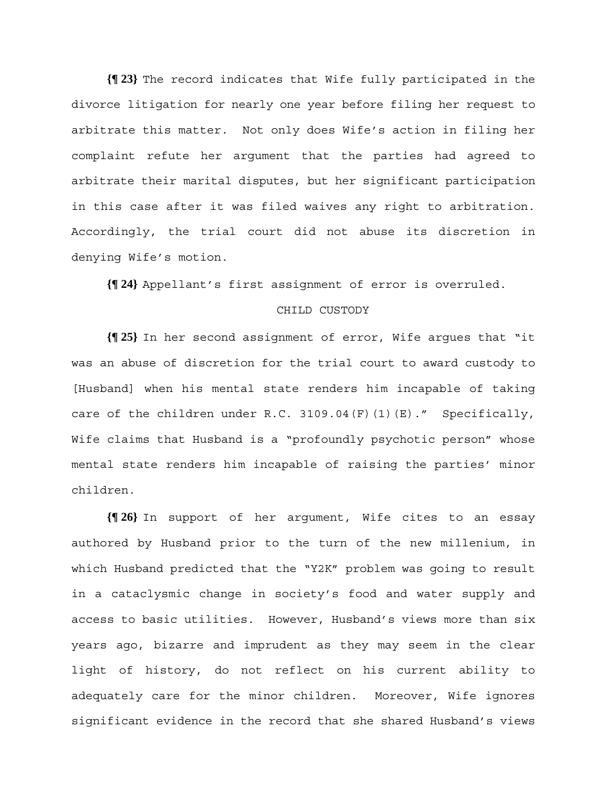**{¶ 23}** The record indicates that Wife fully participated in the divorce litigation for nearly one year before filing her request to arbitrate this matter. Not only does Wife's action in filing her complaint refute her argument that the parties had agreed to arbitrate their marital disputes, but her significant participation in this case after it was filed waives any right to arbitration. Accordingly, the trial court did not abuse its discretion in denying Wife's motion.

**{¶ 24}** Appellant's first assignment of error is overruled.

## CHILD CUSTODY

**{¶ 25}** In her second assignment of error, Wife argues that "it was an abuse of discretion for the trial court to award custody to [Husband] when his mental state renders him incapable of taking care of the children under R.C. 3109.04(F)(1)(E)." Specifically, Wife claims that Husband is a "profoundly psychotic person" whose mental state renders him incapable of raising the parties' minor children.

**{¶ 26}** In support of her argument, Wife cites to an essay authored by Husband prior to the turn of the new millenium, in which Husband predicted that the "Y2K" problem was going to result in a cataclysmic change in society's food and water supply and access to basic utilities. However, Husband's views more than six years ago, bizarre and imprudent as they may seem in the clear light of history, do not reflect on his current ability to adequately care for the minor children. Moreover, Wife ignores significant evidence in the record that she shared Husband's views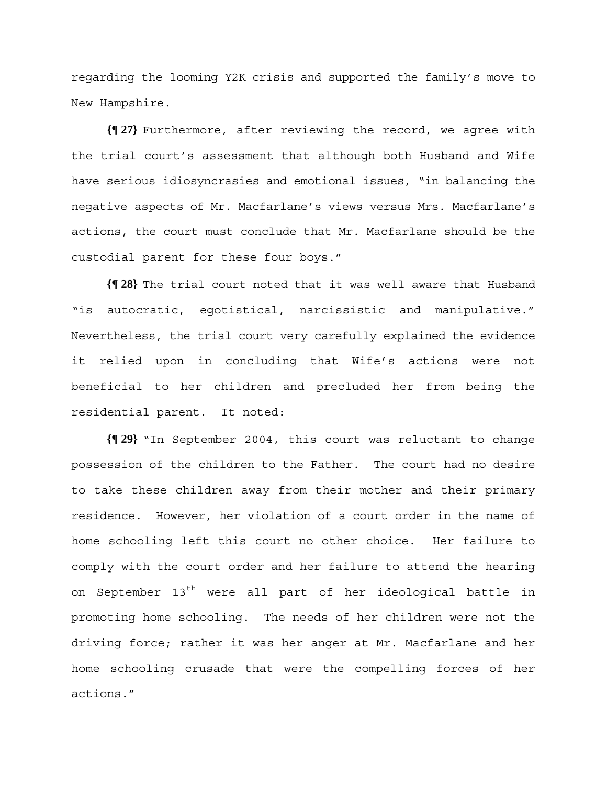regarding the looming Y2K crisis and supported the family's move to New Hampshire.

**{¶ 27}** Furthermore, after reviewing the record, we agree with the trial court's assessment that although both Husband and Wife have serious idiosyncrasies and emotional issues, "in balancing the negative aspects of Mr. Macfarlane's views versus Mrs. Macfarlane's actions, the court must conclude that Mr. Macfarlane should be the custodial parent for these four boys."

**{¶ 28}** The trial court noted that it was well aware that Husband "is autocratic, egotistical, narcissistic and manipulative." Nevertheless, the trial court very carefully explained the evidence it relied upon in concluding that Wife's actions were not beneficial to her children and precluded her from being the residential parent. It noted:

**{¶ 29}** "In September 2004, this court was reluctant to change possession of the children to the Father. The court had no desire to take these children away from their mother and their primary residence. However, her violation of a court order in the name of home schooling left this court no other choice. Her failure to comply with the court order and her failure to attend the hearing on September 13<sup>th</sup> were all part of her ideological battle in promoting home schooling. The needs of her children were not the driving force; rather it was her anger at Mr. Macfarlane and her home schooling crusade that were the compelling forces of her actions."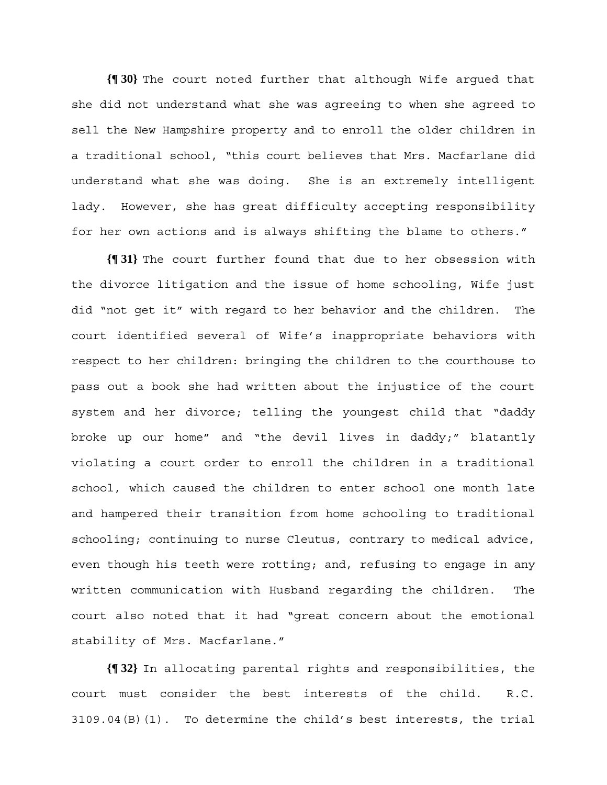**{¶ 30}** The court noted further that although Wife argued that she did not understand what she was agreeing to when she agreed to sell the New Hampshire property and to enroll the older children in a traditional school, "this court believes that Mrs. Macfarlane did understand what she was doing. She is an extremely intelligent lady. However, she has great difficulty accepting responsibility for her own actions and is always shifting the blame to others."

**{¶ 31}** The court further found that due to her obsession with the divorce litigation and the issue of home schooling, Wife just did "not get it" with regard to her behavior and the children. The court identified several of Wife's inappropriate behaviors with respect to her children: bringing the children to the courthouse to pass out a book she had written about the injustice of the court system and her divorce; telling the youngest child that "daddy broke up our home" and "the devil lives in daddy;" blatantly violating a court order to enroll the children in a traditional school, which caused the children to enter school one month late and hampered their transition from home schooling to traditional schooling; continuing to nurse Cleutus, contrary to medical advice, even though his teeth were rotting; and, refusing to engage in any written communication with Husband regarding the children. The court also noted that it had "great concern about the emotional stability of Mrs. Macfarlane."

**{¶ 32}** In allocating parental rights and responsibilities, the court must consider the best interests of the child. R.C. 3109.04(B)(1). To determine the child's best interests, the trial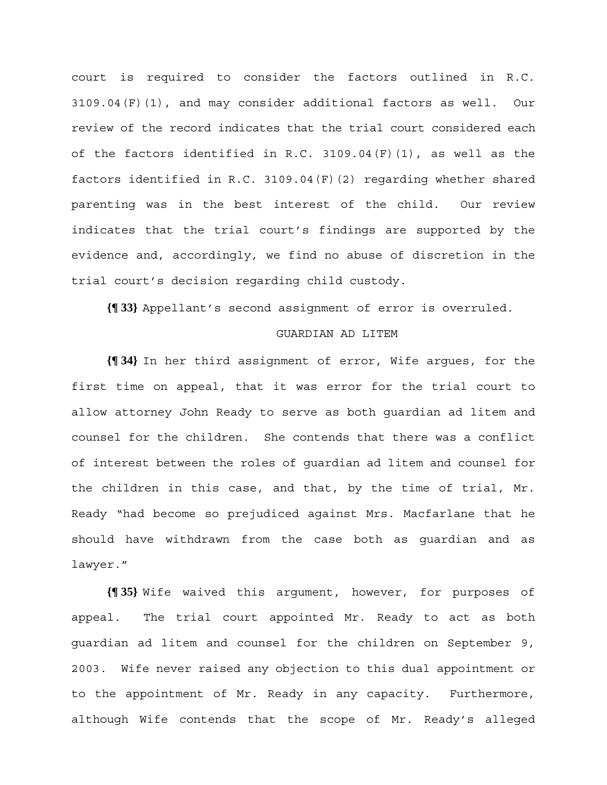court is required to consider the factors outlined in R.C. 3109.04(F)(1), and may consider additional factors as well. Our review of the record indicates that the trial court considered each of the factors identified in R.C. 3109.04 $(F)(1)$ , as well as the factors identified in R.C. 3109.04(F)(2) regarding whether shared parenting was in the best interest of the child. Our review indicates that the trial court's findings are supported by the evidence and, accordingly, we find no abuse of discretion in the trial court's decision regarding child custody.

**{¶ 33}** Appellant's second assignment of error is overruled.

## GUARDIAN AD LITEM

**{¶ 34}** In her third assignment of error, Wife argues, for the first time on appeal, that it was error for the trial court to allow attorney John Ready to serve as both guardian ad litem and counsel for the children. She contends that there was a conflict of interest between the roles of guardian ad litem and counsel for the children in this case, and that, by the time of trial, Mr. Ready "had become so prejudiced against Mrs. Macfarlane that he should have withdrawn from the case both as guardian and as lawyer."

**{¶ 35}** Wife waived this argument, however, for purposes of appeal. The trial court appointed Mr. Ready to act as both guardian ad litem and counsel for the children on September 9, 2003. Wife never raised any objection to this dual appointment or to the appointment of Mr. Ready in any capacity. Furthermore, although Wife contends that the scope of Mr. Ready's alleged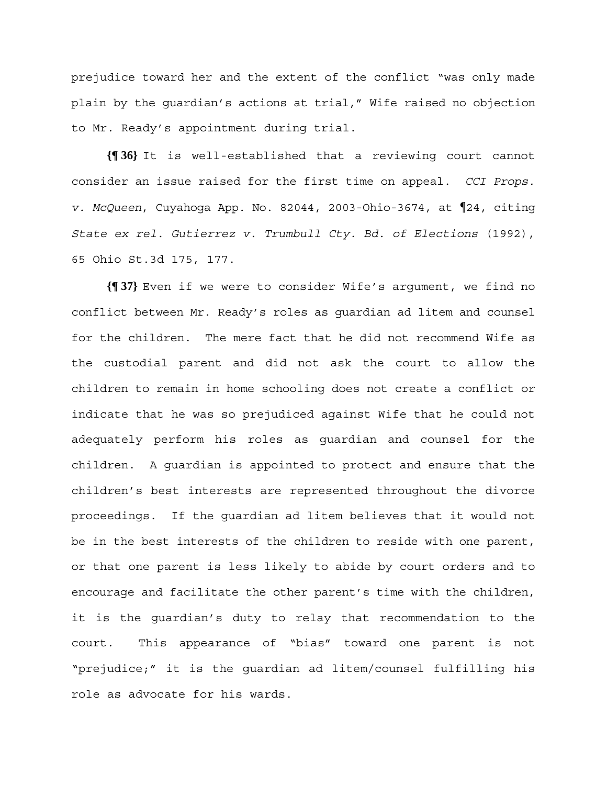prejudice toward her and the extent of the conflict "was only made plain by the guardian's actions at trial," Wife raised no objection to Mr. Ready's appointment during trial.

**{¶ 36}** It is well-established that a reviewing court cannot consider an issue raised for the first time on appeal. *CCI Props. v. McQueen*, Cuyahoga App. No. 82044, 2003-Ohio-3674, at ¶24, citing *State ex rel. Gutierrez v. Trumbull Cty. Bd. of Elections* (1992), 65 Ohio St.3d 175, 177.

**{¶ 37}** Even if we were to consider Wife's argument, we find no conflict between Mr. Ready's roles as guardian ad litem and counsel for the children. The mere fact that he did not recommend Wife as the custodial parent and did not ask the court to allow the children to remain in home schooling does not create a conflict or indicate that he was so prejudiced against Wife that he could not adequately perform his roles as guardian and counsel for the children. A guardian is appointed to protect and ensure that the children's best interests are represented throughout the divorce proceedings. If the guardian ad litem believes that it would not be in the best interests of the children to reside with one parent, or that one parent is less likely to abide by court orders and to encourage and facilitate the other parent's time with the children, it is the guardian's duty to relay that recommendation to the court. This appearance of "bias" toward one parent is not "prejudice;" it is the guardian ad litem/counsel fulfilling his role as advocate for his wards.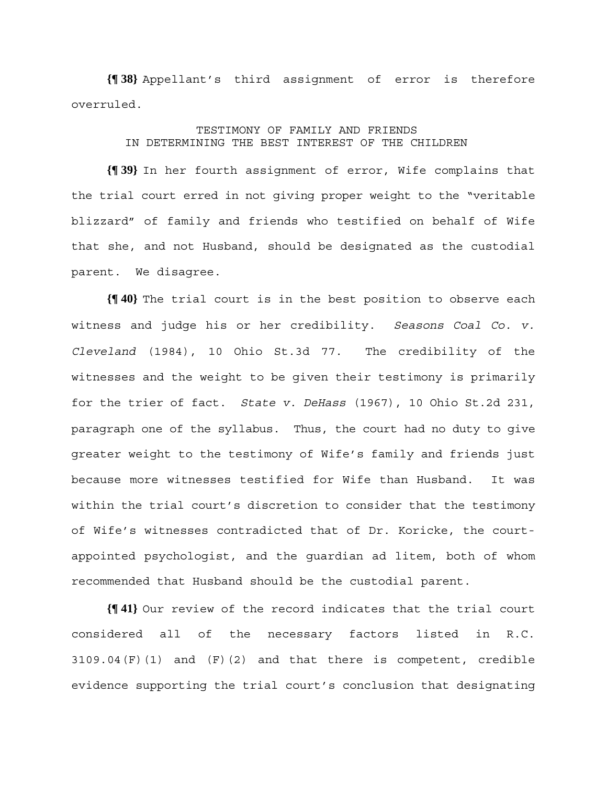**{¶ 38}** Appellant's third assignment of error is therefore overruled.

## TESTIMONY OF FAMILY AND FRIENDS IN DETERMINING THE BEST INTEREST OF THE CHILDREN

**{¶ 39}** In her fourth assignment of error, Wife complains that the trial court erred in not giving proper weight to the "veritable blizzard" of family and friends who testified on behalf of Wife that she, and not Husband, should be designated as the custodial parent. We disagree.

**{¶ 40}** The trial court is in the best position to observe each witness and judge his or her credibility. *Seasons Coal Co. v. Cleveland* (1984), 10 Ohio St.3d 77. The credibility of the witnesses and the weight to be given their testimony is primarily for the trier of fact. *State v. DeHass* (1967), 10 Ohio St.2d 231, paragraph one of the syllabus. Thus, the court had no duty to give greater weight to the testimony of Wife's family and friends just because more witnesses testified for Wife than Husband. It was within the trial court's discretion to consider that the testimony of Wife's witnesses contradicted that of Dr. Koricke, the courtappointed psychologist, and the guardian ad litem, both of whom recommended that Husband should be the custodial parent.

**{¶ 41}** Our review of the record indicates that the trial court considered all of the necessary factors listed in R.C.  $3109.04(F)(1)$  and  $(F)(2)$  and that there is competent, credible evidence supporting the trial court's conclusion that designating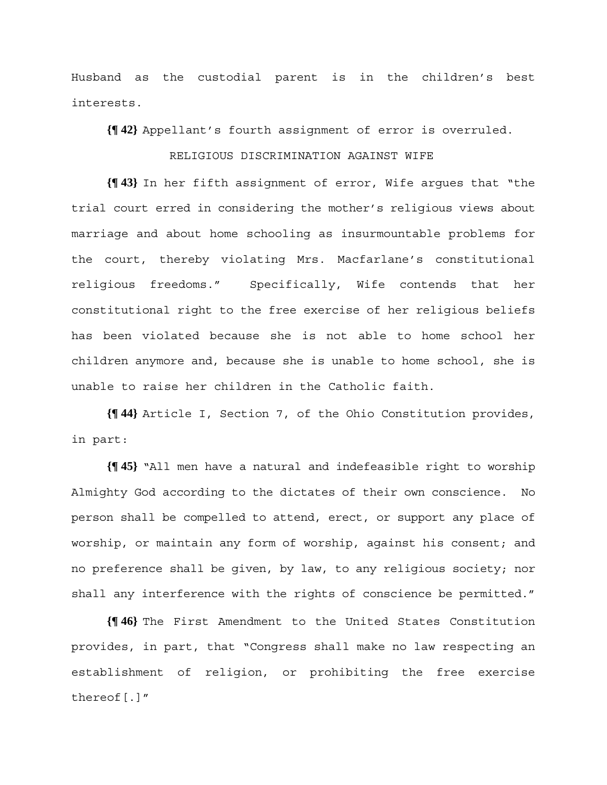Husband as the custodial parent is in the children's best interests.

**{¶ 42}** Appellant's fourth assignment of error is overruled.

#### RELIGIOUS DISCRIMINATION AGAINST WIFE

**{¶ 43}** In her fifth assignment of error, Wife argues that "the trial court erred in considering the mother's religious views about marriage and about home schooling as insurmountable problems for the court, thereby violating Mrs. Macfarlane's constitutional religious freedoms." Specifically, Wife contends that her constitutional right to the free exercise of her religious beliefs has been violated because she is not able to home school her children anymore and, because she is unable to home school, she is unable to raise her children in the Catholic faith.

**{¶ 44}** Article I, Section 7, of the Ohio Constitution provides, in part:

**{¶ 45}** "All men have a natural and indefeasible right to worship Almighty God according to the dictates of their own conscience. No person shall be compelled to attend, erect, or support any place of worship, or maintain any form of worship, against his consent; and no preference shall be given, by law, to any religious society; nor shall any interference with the rights of conscience be permitted."

**{¶ 46}** The First Amendment to the United States Constitution provides, in part, that "Congress shall make no law respecting an establishment of religion, or prohibiting the free exercise thereof[.]"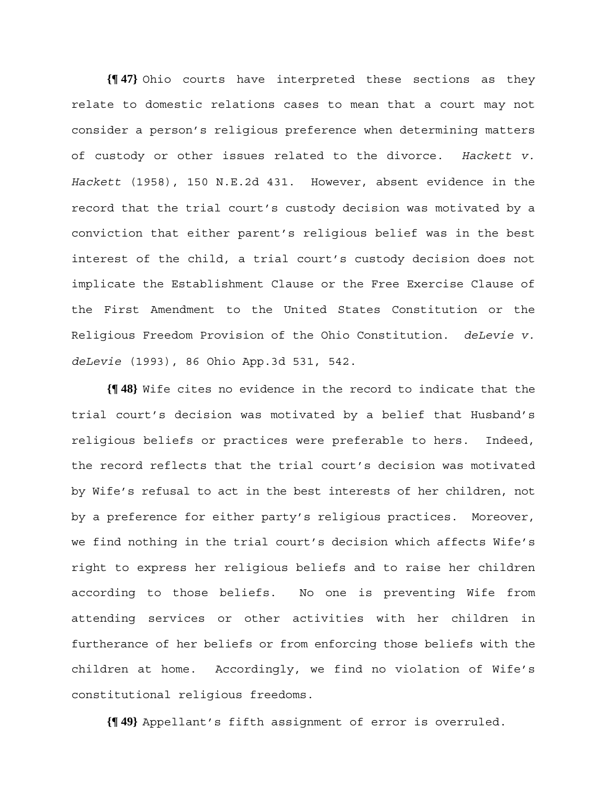**{¶ 47}** Ohio courts have interpreted these sections as they relate to domestic relations cases to mean that a court may not consider a person's religious preference when determining matters of custody or other issues related to the divorce. *Hackett v. Hackett* (1958), 150 N.E.2d 431. However, absent evidence in the record that the trial court's custody decision was motivated by a conviction that either parent's religious belief was in the best interest of the child, a trial court's custody decision does not implicate the Establishment Clause or the Free Exercise Clause of the First Amendment to the United States Constitution or the Religious Freedom Provision of the Ohio Constitution. *deLevie v. deLevie* (1993), 86 Ohio App.3d 531, 542.

**{¶ 48}** Wife cites no evidence in the record to indicate that the trial court's decision was motivated by a belief that Husband's religious beliefs or practices were preferable to hers. Indeed, the record reflects that the trial court's decision was motivated by Wife's refusal to act in the best interests of her children, not by a preference for either party's religious practices. Moreover, we find nothing in the trial court's decision which affects Wife's right to express her religious beliefs and to raise her children according to those beliefs. No one is preventing Wife from attending services or other activities with her children in furtherance of her beliefs or from enforcing those beliefs with the children at home. Accordingly, we find no violation of Wife's constitutional religious freedoms.

**{¶ 49}** Appellant's fifth assignment of error is overruled.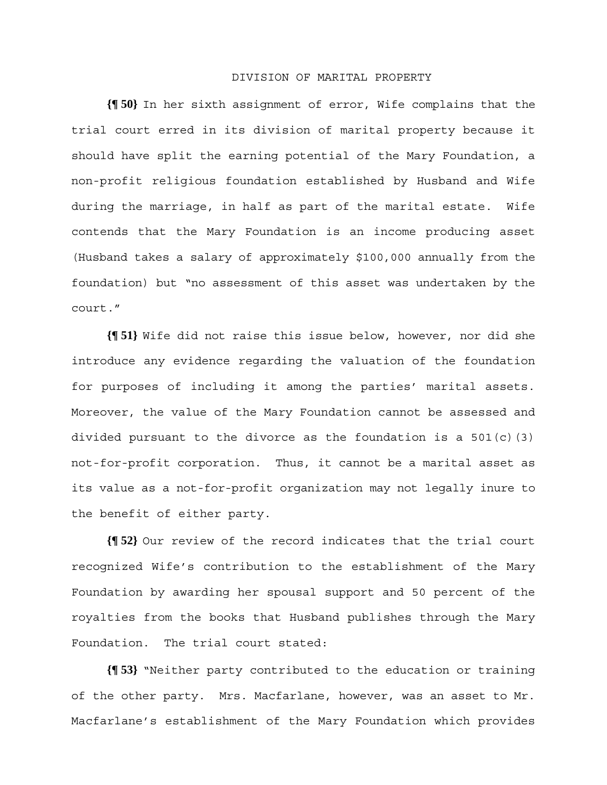#### DIVISION OF MARITAL PROPERTY

**{¶ 50}** In her sixth assignment of error, Wife complains that the trial court erred in its division of marital property because it should have split the earning potential of the Mary Foundation, a non-profit religious foundation established by Husband and Wife during the marriage, in half as part of the marital estate. Wife contends that the Mary Foundation is an income producing asset (Husband takes a salary of approximately \$100,000 annually from the foundation) but "no assessment of this asset was undertaken by the court."

**{¶ 51}** Wife did not raise this issue below, however, nor did she introduce any evidence regarding the valuation of the foundation for purposes of including it among the parties' marital assets. Moreover, the value of the Mary Foundation cannot be assessed and divided pursuant to the divorce as the foundation is a  $501(c)(3)$ not-for-profit corporation. Thus, it cannot be a marital asset as its value as a not-for-profit organization may not legally inure to the benefit of either party.

**{¶ 52}** Our review of the record indicates that the trial court recognized Wife's contribution to the establishment of the Mary Foundation by awarding her spousal support and 50 percent of the royalties from the books that Husband publishes through the Mary Foundation. The trial court stated:

**{¶ 53}** "Neither party contributed to the education or training of the other party. Mrs. Macfarlane, however, was an asset to Mr. Macfarlane's establishment of the Mary Foundation which provides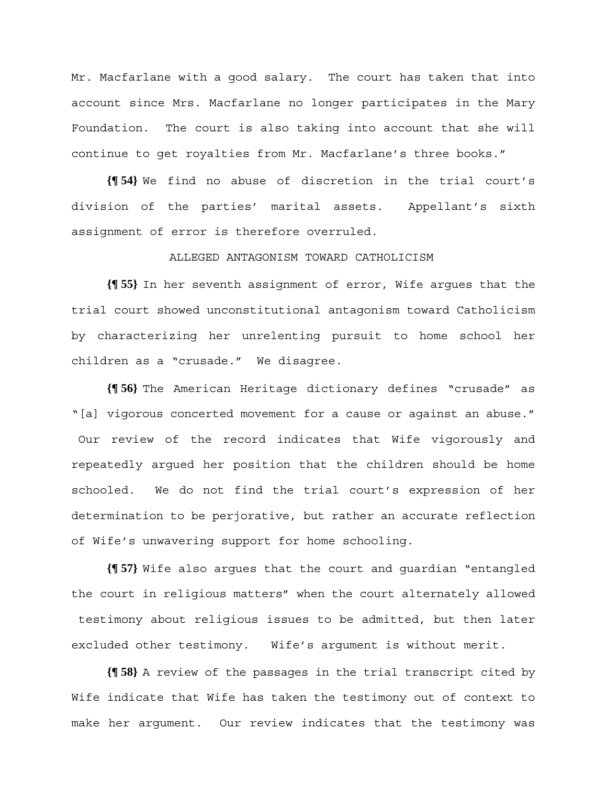Mr. Macfarlane with a good salary. The court has taken that into account since Mrs. Macfarlane no longer participates in the Mary Foundation. The court is also taking into account that she will continue to get royalties from Mr. Macfarlane's three books."

**{¶ 54}** We find no abuse of discretion in the trial court's division of the parties' marital assets. Appellant's sixth assignment of error is therefore overruled.

## ALLEGED ANTAGONISM TOWARD CATHOLICISM

**{¶ 55}** In her seventh assignment of error, Wife argues that the trial court showed unconstitutional antagonism toward Catholicism by characterizing her unrelenting pursuit to home school her children as a "crusade." We disagree.

**{¶ 56}** The American Heritage dictionary defines "crusade" as "[a] vigorous concerted movement for a cause or against an abuse." Our review of the record indicates that Wife vigorously and repeatedly argued her position that the children should be home schooled. We do not find the trial court's expression of her determination to be perjorative, but rather an accurate reflection of Wife's unwavering support for home schooling.

**{¶ 57}** Wife also argues that the court and guardian "entangled the court in religious matters" when the court alternately allowed testimony about religious issues to be admitted, but then later excluded other testimony. Wife's argument is without merit.

**{¶ 58}** A review of the passages in the trial transcript cited by Wife indicate that Wife has taken the testimony out of context to make her argument. Our review indicates that the testimony was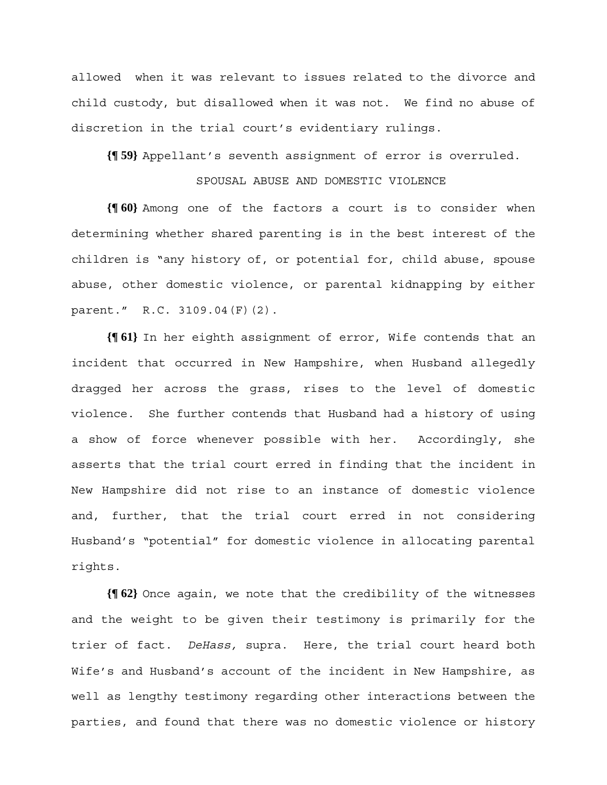allowed when it was relevant to issues related to the divorce and child custody, but disallowed when it was not. We find no abuse of discretion in the trial court's evidentiary rulings.

**{¶ 59}** Appellant's seventh assignment of error is overruled.

### SPOUSAL ABUSE AND DOMESTIC VIOLENCE

**{¶ 60}** Among one of the factors a court is to consider when determining whether shared parenting is in the best interest of the children is "any history of, or potential for, child abuse, spouse abuse, other domestic violence, or parental kidnapping by either parent." R.C. 3109.04(F)(2).

**{¶ 61}** In her eighth assignment of error, Wife contends that an incident that occurred in New Hampshire, when Husband allegedly dragged her across the grass, rises to the level of domestic violence. She further contends that Husband had a history of using a show of force whenever possible with her. Accordingly, she asserts that the trial court erred in finding that the incident in New Hampshire did not rise to an instance of domestic violence and, further, that the trial court erred in not considering Husband's "potential" for domestic violence in allocating parental rights.

**{¶ 62}** Once again, we note that the credibility of the witnesses and the weight to be given their testimony is primarily for the trier of fact. *DeHass,* supra. Here, the trial court heard both Wife's and Husband's account of the incident in New Hampshire, as well as lengthy testimony regarding other interactions between the parties, and found that there was no domestic violence or history